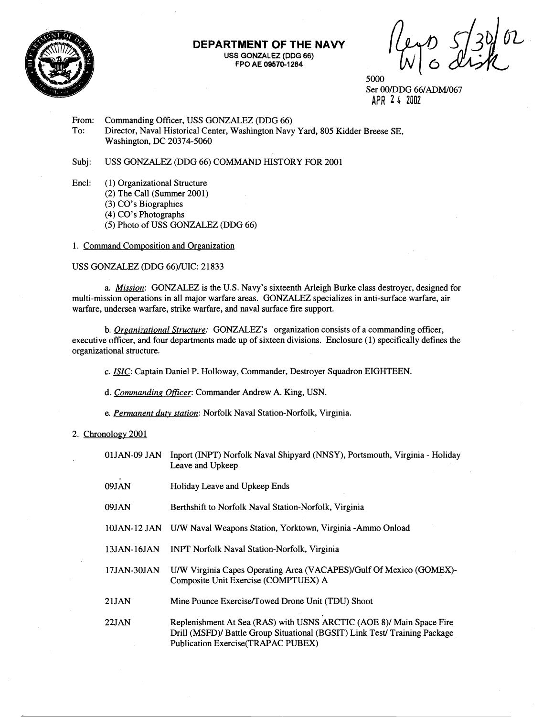

### **DEPARTMENT OF THE NAVY USS GONZALEZ (DOG 66) FPO AE 09570-1264**

5000 Ser OOIDDG 66/ADM/067 **APR 2 6 2002** 

From: Commanding Officer, USS GONZALEZ (DDG 66)<br>To: Director, Naval Historical Center, Washington Navy Director, Naval Historical Center, Washington Navy Yard, 805 Kidder Breese SE, Washington, DC 20374-5060

Subj: USS GONZALEZ (DDG 66) COMMAND HISTORY FOR 2001

Encl: (1) Organizational Structure (2) The Call (Summer 2001) (3) CO's Biographies (4) CO's Photographs (5) Photo of USS GONZALEZ (DDG 66)

1. Command Composition and Organization

# USS GONZALEZ (DDG 66)/UIC: 21833

a. Mission: GONZALEZ is the U.S. Navy's sixteenth Arleigh Burke class destroyer, designed for multi-mission operations in all major warfare areas. GONZALEZ specializes in anti-surface warfare, air warfare, undersea warfare, strike warfare, and naval surface fire support.

b. Organizational Structure: GONZALEZ's organization consists of a commanding officer, executive officer, and four departments made up of sixteen divisions. Enclosure (1) specifically defines the organizational structure.

c. *KC:* Captain Daniel P. Holloway, Commander, Destroyer Squadron EIGHTEEN.

d. Commanding Officer: Commander Andrew A. King, USN.

e. Permanent duty station: Norfolk Naval Station-Norfolk, Virginia.

## 2. Chronology 2001

| 01JAN-09 JAN | Inport (INPT) Norfolk Naval Shipyard (NNSY), Portsmouth, Virginia - Holiday<br>Leave and Upkeep                                                                                          |
|--------------|------------------------------------------------------------------------------------------------------------------------------------------------------------------------------------------|
| 09JAN        | Holiday Leave and Upkeep Ends                                                                                                                                                            |
| 09JAN        | Berthshift to Norfolk Naval Station-Norfolk, Virginia                                                                                                                                    |
|              | 10JAN-12 JAN U/W Naval Weapons Station, Yorktown, Virginia -Ammo Onload                                                                                                                  |
| 13JAN-16JAN  | <b>INPT Norfolk Naval Station-Norfolk, Virginia</b>                                                                                                                                      |
| 17JAN-30JAN  | U/W Virginia Capes Operating Area (VACAPES)/Gulf Of Mexico (GOMEX)-<br>Composite Unit Exercise (COMPTUEX) A                                                                              |
| 21JAN        | Mine Pounce Exercise/Towed Drone Unit (TDU) Shoot                                                                                                                                        |
| 22JAN        | Replenishment At Sea (RAS) with USNS ARCTIC (AOE 8)/ Main Space Fire<br>Drill (MSFD)/ Battle Group Situational (BGSIT) Link Test/ Training Package<br>Publication Exercise(TRAPAC PUBEX) |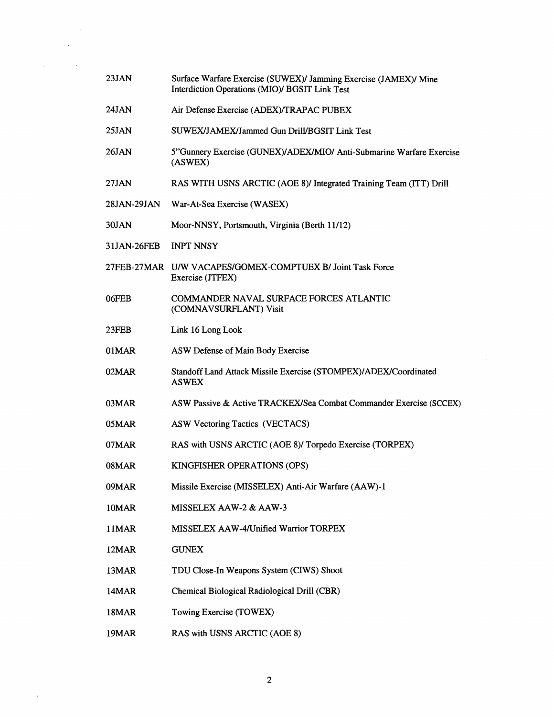| Surface Warfare Exercise (SUWEX)/ Jamming Exercise (JAMEX)/ Mine<br>Interdiction Operations (MIO)/ BGSIT Link Test |
|--------------------------------------------------------------------------------------------------------------------|
| Air Defense Exercise (ADEX)/TRAPAC PUBEX                                                                           |
| SUWEX/JAMEX/Jammed Gun Drill/BGSIT Link Test                                                                       |
| 5"Gunnery Exercise (GUNEX)/ADEX/MIO/ Anti-Submarine Warfare Exercise<br>(ASWEX)                                    |
| RAS WITH USNS ARCTIC (AOE 8)/ Integrated Training Team (ITT) Drill                                                 |
| War-At-Sea Exercise (WASEX)                                                                                        |
| Moor-NNSY, Portsmouth, Virginia (Berth 11/12)                                                                      |
| <b>INPT NNSY</b>                                                                                                   |
| 27FEB-27MAR U/W VACAPES/GOMEX-COMPTUEX B/ Joint Task Force<br>Exercise (JTFEX)                                     |
| COMMANDER NAVAL SURFACE FORCES ATLANTIC<br>(COMNAVSURFLANT) Visit                                                  |
| Link 16 Long Look                                                                                                  |
| ASW Defense of Main Body Exercise                                                                                  |
| Standoff Land Attack Missile Exercise (STOMPEX)/ADEX/Coordinated<br><b>ASWEX</b>                                   |
| ASW Passive & Active TRACKEX/Sea Combat Commander Exercise (SCCEX)                                                 |
| ASW Vectoring Tactics (VECTACS)                                                                                    |
| RAS with USNS ARCTIC (AOE 8)/ Torpedo Exercise (TORPEX)                                                            |
| KINGFISHER OPERATIONS (OPS)                                                                                        |
| Missile Exercise (MISSELEX) Anti-Air Warfare (AAW)-1                                                               |
| MISSELEX AAW-2 & AAW-3                                                                                             |
| MISSELEX AAW-4/Unified Warrior TORPEX                                                                              |
| <b>GUNEX</b>                                                                                                       |
| TDU Close-In Weapons System (CIWS) Shoot                                                                           |
|                                                                                                                    |
| Chemical Biological Radiological Drill (CBR)                                                                       |
| Towing Exercise (TOWEX)                                                                                            |
|                                                                                                                    |

 $\sim 10^{-1}$ 

 $\overline{2}$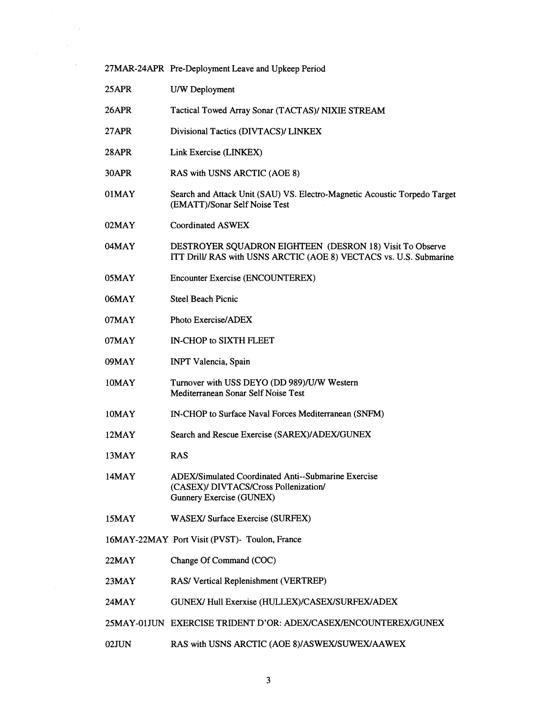|          | 27MAR-24APR Pre-Deployment Leave and Upkeep Period                                                                                     |
|----------|----------------------------------------------------------------------------------------------------------------------------------------|
| 25APR    | U/W Deployment                                                                                                                         |
| 26APR    | Tactical Towed Array Sonar (TACTAS)/ NIXIE STREAM                                                                                      |
| 27APR    | Divisional Tactics (DIVTACS)/ LINKEX                                                                                                   |
| 28APR    | Link Exercise (LINKEX)                                                                                                                 |
| 30APR    | RAS with USNS ARCTIC (AOE 8)                                                                                                           |
| 01MAY    | Search and Attack Unit (SAU) VS. Electro-Magnetic Acoustic Torpedo Target<br>(EMATT)/Sonar Self Noise Test                             |
| $02$ MAY | <b>Coordinated ASWEX</b>                                                                                                               |
| 04MAY    | DESTROYER SQUADRON EIGHTEEN (DESRON 18) Visit To Observe<br>ITT Drill/ RAS with USNS ARCTIC (AOE 8) VECTACS vs. U.S. Submarine         |
| 05MAY    | Encounter Exercise (ENCOUNTEREX)                                                                                                       |
| 06MAY    | <b>Steel Beach Picnic</b>                                                                                                              |
| 07MAY    | Photo Exercise/ADEX                                                                                                                    |
| 07MAY    | IN-CHOP to SIXTH FLEET                                                                                                                 |
| 09MAY    | <b>INPT Valencia</b> , Spain                                                                                                           |
| 10MAY    | Turnover with USS DEYO (DD 989)/U/W Western<br>Mediterranean Sonar Self Noise Test                                                     |
| 10MAY    | IN-CHOP to Surface Naval Forces Mediterranean (SNFM)                                                                                   |
| 12MAY    | Search and Rescue Exercise (SAREX)/ADEX/GUNEX                                                                                          |
| 13MAY    | <b>RAS</b>                                                                                                                             |
| 14MAY    | <b>ADEX/Simulated Coordinated Anti--Submarine Exercise</b><br>(CASEX)/ DIVTACS/Cross Pollenization/<br><b>Gunnery Exercise (GUNEX)</b> |
| 15MAY    | WASEX/ Surface Exercise (SURFEX)                                                                                                       |
|          | 16MAY-22MAY Port Visit (PVST)- Toulon, France                                                                                          |
| 22MAY    | Change Of Command (COC)                                                                                                                |
| 23MAY    | RAS/ Vertical Replenishment (VERTREP)                                                                                                  |
| 24MAY    | GUNEX/ Hull Exerxise (HULLEX)/CASEX/SURFEX/ADEX                                                                                        |
|          | 25MAY-01JUN EXERCISE TRIDENT D'OR: ADEX/CASEX/ENCOUNTEREX/GUNEX                                                                        |
| 02JUN    | RAS with USNS ARCTIC (AOE 8)/ASWEX/SUWEX/AAWEX                                                                                         |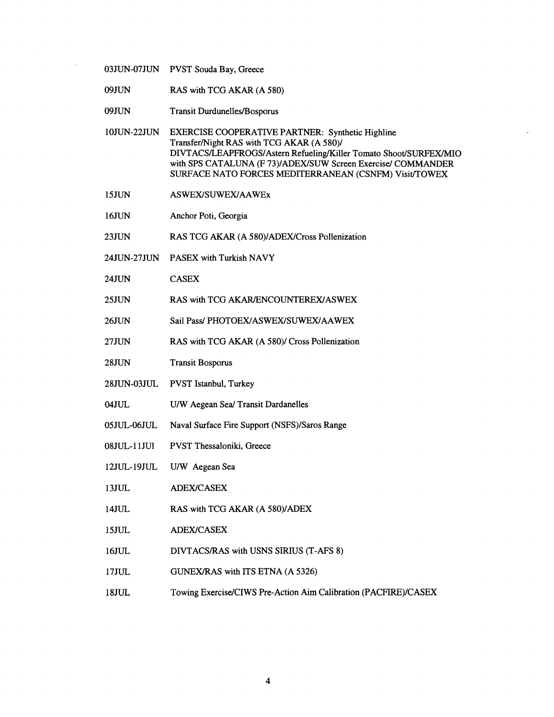03JUN-07JUN PVST Souda Bay, Greece

09JUN RAS with TCG AKAR (A 580)

09JUN Transit Durdunelles/Bosporus

10JUN-22JUN EXERCISE COOPERATIVE PARTNER: Synthetic Highline Transfer/Night RAS with TCG AKAR (A 580)/ DIVTACS/LEAPFROGS/Astern Refueling/Killer Tomato Shoot/SURFEX/MIO with SPS CATALUNA (F 73)/ADEX/SUW Screen Exercise/ COMMANDER SURFACE NATO FORCES MEDITERRANEAN (CSNFM) Visit/TOWEX

- 15JUN ASWEX/SUWEX/AAWEx
- 16JUN Anchor Poti, Georgia
- 23JUN RAS TCG AKAR (A 580)/ADEX/Cross Pollenization
- 24JUN-27JUN PASEX with Turkish NAVY
- 24JUN CASEX
- 25JUN RAS with TCG AKAR/ENCOUNTEREX/ASWEX
- 26JUN Sail Pass/ PHOTOEX/ASWEX/SUWEX/AAWEX
- 27 JUN RAS with TCG AKAR (A 580)/ Cross Pollenization
- 28JUN Transit Bosporus
- 28JUN-03 JUL PVST Istanbul, Turkey
- 04JUL U/W Aegean Sea/ Transit Dardanelles
- 05 JUL-06JUL Naval Surface Fire Support (NSFS)/Saros Range
- 08JUL-11JU1 PVST Thessaloniki, Greece
- 12JUL-19JUL U/W Aegean Sea
- 13JUL ADEX/CASEX
- 14JUL RAS with TCG AKAR (A 580)/ADEX
- 15JUL ADEX/CASEX
- 16JUL DIVTACSIRAS with USNS SIRIUS (T-AFS 8)
- 17JUL GUNEXIRAS with ITS ETNA (A 5326)
- 18JuL Towing Exercise/CIWS Pre-Action Aim Calibration (PACFIRE)/CASEX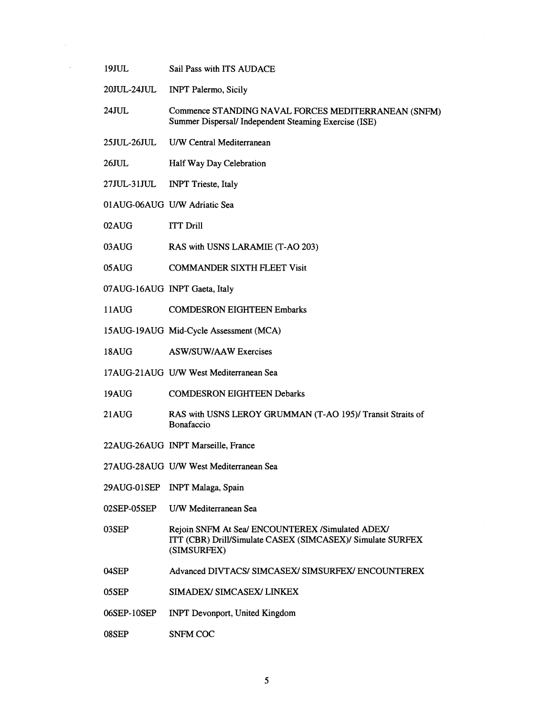- 19JUL Sail Pass with ITS AUDACE
- 20JUL-24JUL INPT Palermo, Sicily

 $\bar{z}$ 

- 24JUL Commence STANDING NAVAL FORCES MEDITERRANEAN (SNFM) Summer Dispersal/ Independent Steaming Exercise (ISE)
- 25JUL-26JUL U/W Central Mediterranean
- 26JUL Half Way Day Celebration
- 27JUL-31JUL INPT Trieste, Italy
- 01AUG-06AUG U/W Adriatic Sea
- 02AUG ITT Drill
- 03AUG RAS with USNS **LARAMIE** (T-A0 203)
- O5AUG COMMANDER SIXTH FLEET Visit
- 07AUG- 16AUG INPT Gaeta, Italy
- 1 lAUG COMDESRON EIGHTEEN Embarks
- 15AUG-19AUG Mid-Cycle Assessment (MCA)
- 18AUG ASWISUWIAAW Exercises
- 17AUG-2 1AUG U/W West Mediterranean Sea
- 19AUG COMDESRON EIGHTEEN Debarks
- 21 AUG RAS with USNS LEROY GRUMMAN (T-AO 195)/ Transit Straits of Bonafaccio
- 22AUG-26AUG INPT Marseille, France
- 27AUG-28AUG U/W West Mediterranean Sea
- 29AUG-01SEP INPT Malaga, Spain
- 02SEP-OSSEP U/W Mediterranean Sea
- 03SEP Rejoin SNFM At Sea/ ENCOUNTEREX /Simulated ADEX/ ITT (CBR) Drill/Simulate CASEX (SIMCASEX)/ Simulate SURFEX (SIMSURFEX)
- 04SEP Advanced DIVTACS/ SIMCASEX/ SIMSURFEX/ ENCOUNTEREX
- 05 SEP SIMADEX/ SIMCASEX/ LINKEX
- 06SEP-10SEP INPT Devonport, United Kingdom
- 08SEP SNFM COC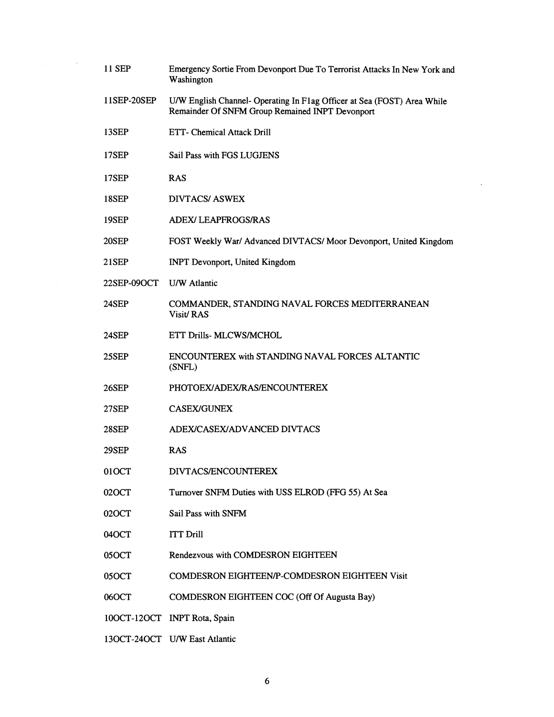11 SEP Emergency Sortie From Devonport Due To Terrorist Attacks In New York and Washington 11SEP-20SEP U/W English Channel- Operating In Flag Officer at Sea (FOST) Area While Remainder Of SNFM Group Remained INPT Devonport 13SEP ETT- Chemical Attack Drill 17SEP Sail Pass with FGS LUGJENS 17SEP RAS 18SEP DIVTACS/ASWEX 19SEP ADEW LEAPFROGSIRAS 2OSEP FOST Weekly War1 Advanced DIVTACSI Moor Devonport, United Kingdom 21SEP INPT Devonport, United Kingdom 22SEP-090CT U/W Atlantic 24SEP COMMANDER, STANDING NAVAL FORCES MEDITERRANEAN Visit/RAS 24SEP ETT Drills- MLCWSIMCHOL 25SEP ENCOUNTEREX with STANDING NAVAL FORCES ALTANTIC (SNFL) 26SEP PHOTOEX/ADEX/RAS/ENCOUNTEREX 27SEP CASEWGUNEX 28SEP ADEWCASEWADVANCED DIVTACS 29SEP RAS 01 OCT DIVTACS/ENCOUNTEREX 020CT Turnover SNFM Duties with USS ELROD (FFG 55) At Sea 020CT Sail Pass with SNFM 04OCT ITT Drill 050CT Rendezvous with COMDESRON EIGHTEEN 05OCT COMDESRON EIGHTEEN/P-COMDESRON EIGHTEEN Visit 060CT COMDESRON EIGHTEEN COC (Off Of Augusta Bay) 100CT-120CT INPT Rota, Spain 130CT-240CT U/W East Atlantic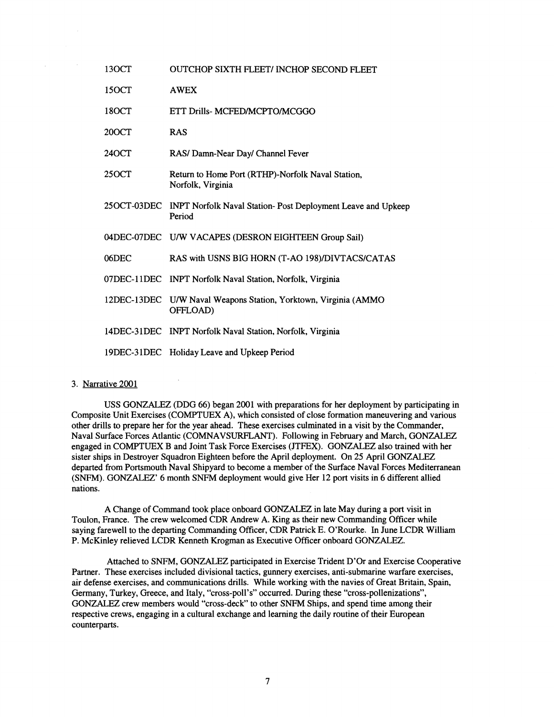| 13OCT              | <b>OUTCHOP SIXTH FLEET/ INCHOP SECOND FLEET</b>                             |
|--------------------|-----------------------------------------------------------------------------|
| 15 <sub>O</sub> CT | <b>AWEX</b>                                                                 |
| 180CT              | ETT Drills- MCFED/MCPTO/MCGGO                                               |
| 20OCT              | <b>RAS</b>                                                                  |
| 240CT              | RAS/ Damn-Near Day/ Channel Fever                                           |
| 25 <sub>O</sub> CT | Return to Home Port (RTHP)-Norfolk Naval Station,<br>Norfolk, Virginia      |
| 25OCT-03DEC        | INPT Norfolk Naval Station-Post Deployment Leave and Upkeep<br>Period       |
|                    | 04DEC-07DEC U/W VACAPES (DESRON EIGHTEEN Group Sail)                        |
| 06DEC              | RAS with USNS BIG HORN (T-AO 198)/DIVTACS/CATAS                             |
|                    | 07DEC-11DEC INPT Norfolk Naval Station, Norfolk, Virginia                   |
|                    | 12DEC-13DEC U/W Naval Weapons Station, Yorktown, Virginia (AMMO<br>OFFLOAD) |
|                    | 14DEC-31DEC INPT Norfolk Naval Station, Norfolk, Virginia                   |
|                    | 19DEC-31DEC Holiday Leave and Upkeep Period                                 |

## 3. Narrative 2001

 $\sim$ 

USS GONZALEZ (DDG 66) began 2001 with preparations for her deployment by participating in Composite Unit Exercises (COMPTUEX A), which consisted of close formation maneuvering and various other drills to prepare her for the year ahead. These exercises culminated in a visit by the Commander, Naval Surface Forces Atlantic (COMNAVSURFLANT). Following in February and March, GONZALEZ engaged in COMPTUEX B and Joint Task Force Exercises (JTFEX). GONZALEZ also trained with her sister ships in Destroyer Squadron Eighteen before the April deployment. On 25 April GONZALEZ departed from Portsmouth Naval Shipyard to become a member of the Surface Naval Forces Mediterranean (SNFM). GONZALEZ' 6 month SNFM deployment would give Her 12 port visits in 6 different allied nations.

A Change of Command took place onboard GONZALEZ in late May during a port visit in Toulon, France. The crew welcomed CDR Andrew A. King as their new Commanding Officer while saying farewell to the departing Commanding Officer, CDR Patrick E. O'Rourke. In June LCDR William P. McKinley relieved LCDR Kenneth Krogman as Executive Officer onboard GONZALEZ.

Attached to SNFM, GONZALEZ participated in Exercise Trident D'Or and Exercise Cooperative Partner. These exercises included divisional tactics, gunnery exercises, anti-submarine warfare exercises, air defense exercises, and communications drills. While working with the navies of Great Britain, Spain, Germany, Turkey, Greece, and Italy, "cross-poll's" occurred. During these "cross-pollenizations", GONZALEZ crew members would "cross-deck" to other SNFM Ships, and spend time among their respective crews, engaging in a cultural exchange and learning the daily routine of their European counterparts.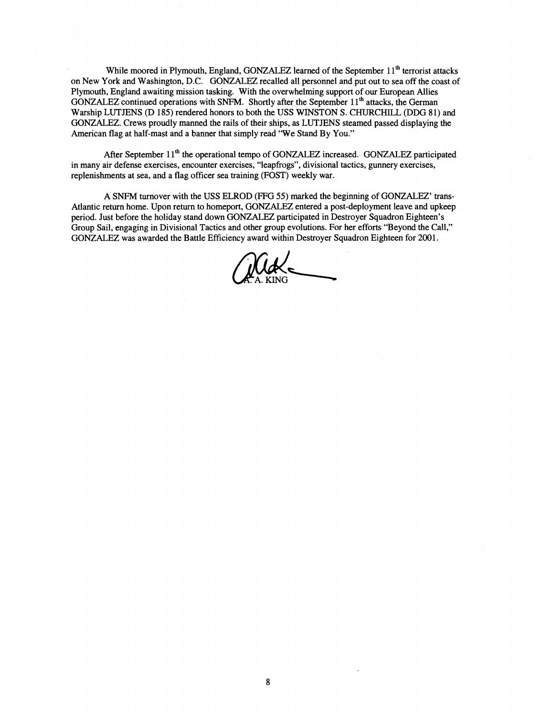While moored in Plymouth, England, GONZALEZ learned of the September 11<sup>th</sup> terrorist attacks on New York and Washington, D.C. GONZALEZ recalled all personnel and put out to sea off the coast of Plymouth, England awaiting mission tasking. With the overwhelming support of our European Allies GONZALEZ continued operations with SNFM. Shortly after the September 11" attacks, the German Warship LUTJENS (D 185) rendered honors to both the USS WINSTON S. CHURCHILL (DDG 81) and GONZALEZ. Crews proudly manned the rails of their ships, as LUTJENS steamed passed displaying the American flag at half-mast and a banner that simply read "We Stand By You."

After September 11<sup>th</sup> the operational tempo of GONZALEZ increased. GONZALEZ participated in many air defense exercises, encounter exercises, "leapfrogs", divisional tactics, gunnery exercises, replenishments at sea, and a flag officer sea training (FOST) weekly war.

A SNFM turnover with the USS ELROD (FFG **55)** marked the beginning of GONZALEZ' trans-Atlantic return home. Upon return to homeport, GONZALEZ entered a post-deployment leave and upkeep period. Just before the holiday stand down GONZALEZ participated in Destroyer Squadron Eighteen's Group Sail, engaging in Divisional Tactics and other group evolutions. For her efforts "Beyond the Call,"

GONZALEZ was awarded the Battle Efficiency award within Destroyer Squadron Eighteen for 2001.<br>
MARKING